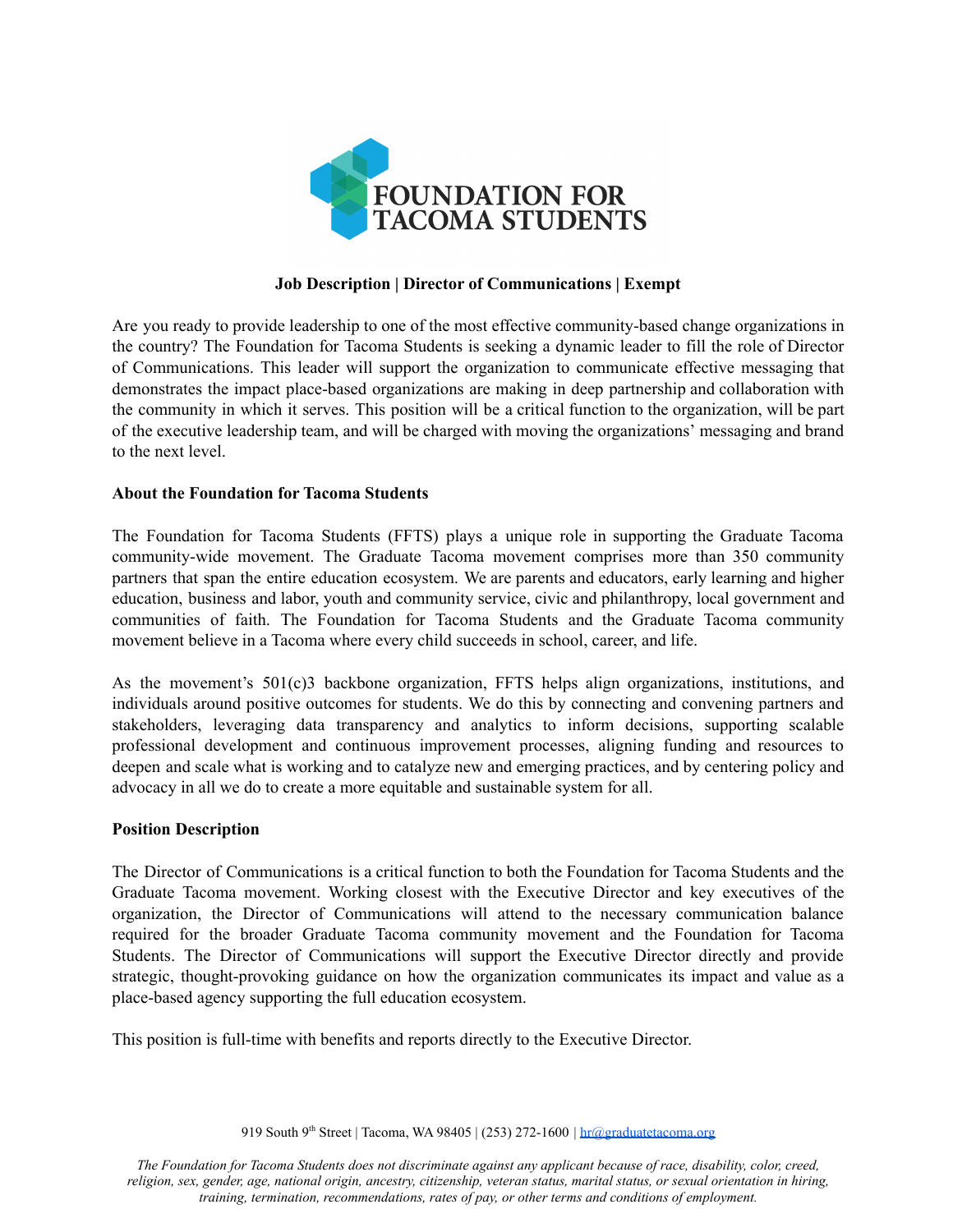

# **Job Description | Director of Communications | Exempt**

Are you ready to provide leadership to one of the most effective community-based change organizations in the country? The Foundation for Tacoma Students is seeking a dynamic leader to fill the role of Director of Communications. This leader will support the organization to communicate effective messaging that demonstrates the impact place-based organizations are making in deep partnership and collaboration with the community in which it serves. This position will be a critical function to the organization, will be part of the executive leadership team, and will be charged with moving the organizations' messaging and brand to the next level.

### **About the Foundation for Tacoma Students**

The Foundation for Tacoma Students (FFTS) plays a unique role in supporting the Graduate Tacoma community-wide movement. The Graduate Tacoma movement comprises more than 350 community partners that span the entire education ecosystem. We are parents and educators, early learning and higher education, business and labor, youth and community service, civic and philanthropy, local government and communities of faith. The Foundation for Tacoma Students and the Graduate Tacoma community movement believe in a Tacoma where every child succeeds in school, career, and life.

As the movement's  $501(c)3$  backbone organization, FFTS helps align organizations, institutions, and individuals around positive outcomes for students. We do this by connecting and convening partners and stakeholders, leveraging data transparency and analytics to inform decisions, supporting scalable professional development and continuous improvement processes, aligning funding and resources to deepen and scale what is working and to catalyze new and emerging practices, and by centering policy and advocacy in all we do to create a more equitable and sustainable system for all.

### **Position Description**

The Director of Communications is a critical function to both the Foundation for Tacoma Students and the Graduate Tacoma movement. Working closest with the Executive Director and key executives of the organization, the Director of Communications will attend to the necessary communication balance required for the broader Graduate Tacoma community movement and the Foundation for Tacoma Students. The Director of Communications will support the Executive Director directly and provide strategic, thought-provoking guidance on how the organization communicates its impact and value as a place-based agency supporting the full education ecosystem.

This position is full-time with benefits and reports directly to the Executive Director.

919 South 9<sup>th</sup> Street | Tacoma, WA 98405 | (253) 272-1600 | [hr@graduatetacoma.org](mailto:hr@graduatetacoma.org)

*The Foundation for Tacoma Students does not discriminate against any applicant because of race, disability, color, creed, religion, sex, gender, age, national origin, ancestry, citizenship, veteran status, marital status, or sexual orientation in hiring, training, termination, recommendations, rates of pay, or other terms and conditions of employment.*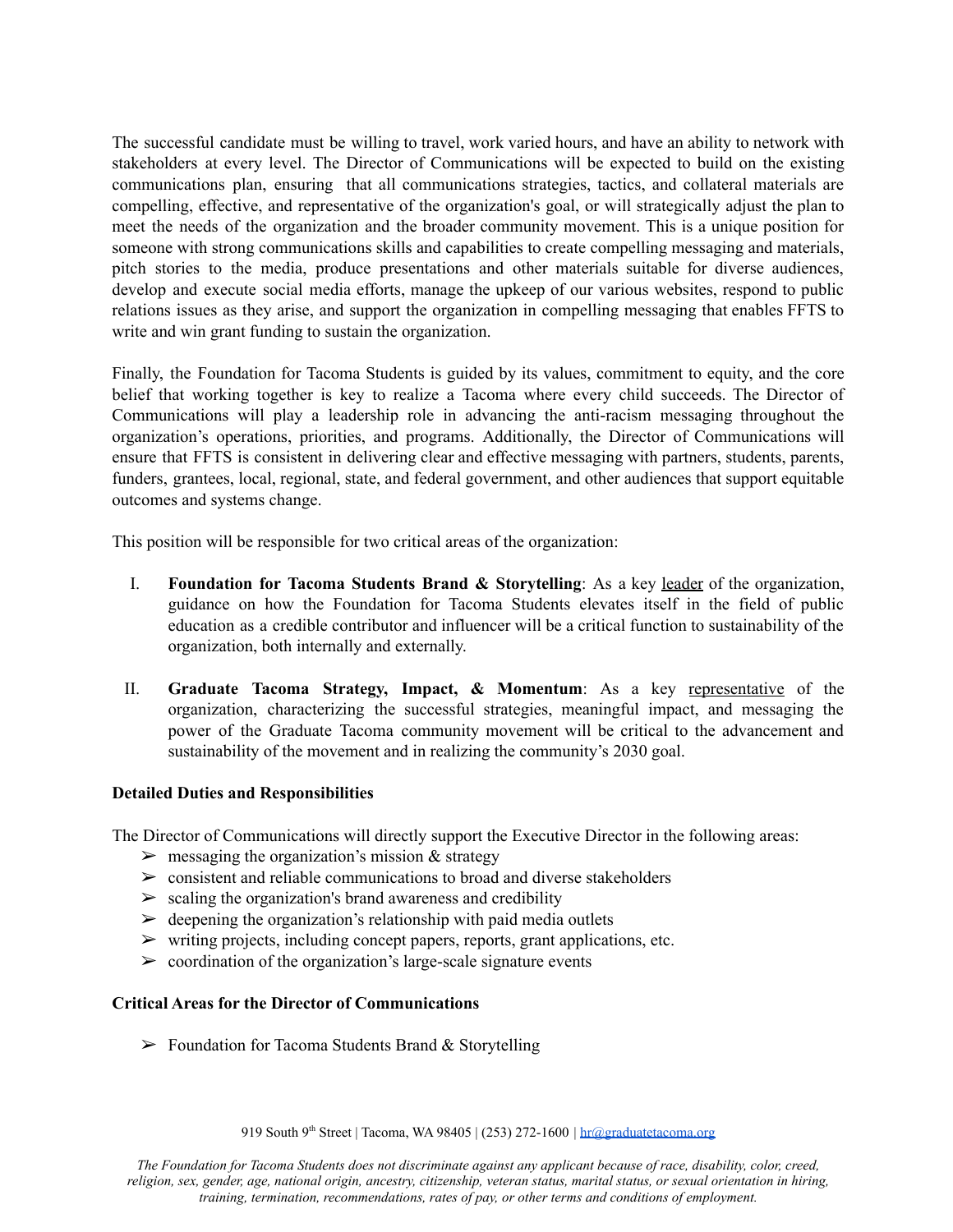The successful candidate must be willing to travel, work varied hours, and have an ability to network with stakeholders at every level. The Director of Communications will be expected to build on the existing communications plan, ensuring that all communications strategies, tactics, and collateral materials are compelling, effective, and representative of the organization's goal, or will strategically adjust the plan to meet the needs of the organization and the broader community movement. This is a unique position for someone with strong communications skills and capabilities to create compelling messaging and materials, pitch stories to the media, produce presentations and other materials suitable for diverse audiences, develop and execute social media efforts, manage the upkeep of our various websites, respond to public relations issues as they arise, and support the organization in compelling messaging that enables FFTS to write and win grant funding to sustain the organization.

Finally, the Foundation for Tacoma Students is guided by its values, commitment to equity, and the core belief that working together is key to realize a Tacoma where every child succeeds. The Director of Communications will play a leadership role in advancing the anti-racism messaging throughout the organization's operations, priorities, and programs. Additionally, the Director of Communications will ensure that FFTS is consistent in delivering clear and effective messaging with partners, students, parents, funders, grantees, local, regional, state, and federal government, and other audiences that support equitable outcomes and systems change.

This position will be responsible for two critical areas of the organization:

- I. **Foundation for Tacoma Students Brand & Storytelling**: As a key leader of the organization, guidance on how the Foundation for Tacoma Students elevates itself in the field of public education as a credible contributor and influencer will be a critical function to sustainability of the organization, both internally and externally.
- II. **Graduate Tacoma Strategy, Impact, & Momentum**: As a key representative of the organization, characterizing the successful strategies, meaningful impact, and messaging the power of the Graduate Tacoma community movement will be critical to the advancement and sustainability of the movement and in realizing the community's 2030 goal.

### **Detailed Duties and Responsibilities**

The Director of Communications will directly support the Executive Director in the following areas:

- $\triangleright$  messaging the organization's mission & strategy
- $\geq$  consistent and reliable communications to broad and diverse stakeholders
- $\geq$  scaling the organization's brand awareness and credibility
- $\triangleright$  deepening the organization's relationship with paid media outlets
- $\triangleright$  writing projects, including concept papers, reports, grant applications, etc.
- $\geq$  coordination of the organization's large-scale signature events

## **Critical Areas for the Director of Communications**

 $\triangleright$  Foundation for Tacoma Students Brand & Storytelling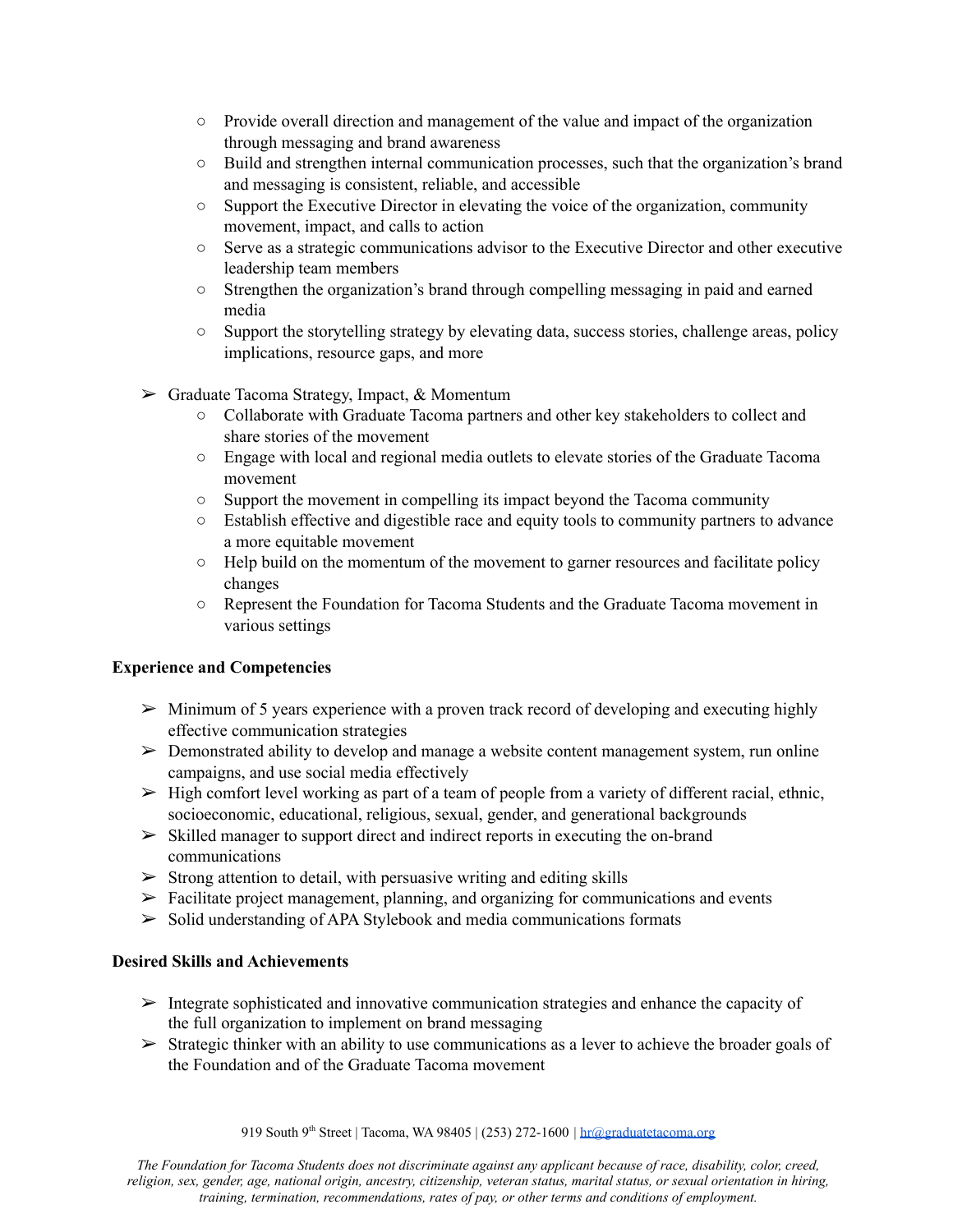- Provide overall direction and management of the value and impact of the organization through messaging and brand awareness
- Build and strengthen internal communication processes, such that the organization's brand and messaging is consistent, reliable, and accessible
- Support the Executive Director in elevating the voice of the organization, community movement, impact, and calls to action
- Serve as a strategic communications advisor to the Executive Director and other executive leadership team members
- Strengthen the organization's brand through compelling messaging in paid and earned media
- Support the storytelling strategy by elevating data, success stories, challenge areas, policy implications, resource gaps, and more
- ➢ Graduate Tacoma Strategy, Impact, & Momentum
	- Collaborate with Graduate Tacoma partners and other key stakeholders to collect and share stories of the movement
	- Engage with local and regional media outlets to elevate stories of the Graduate Tacoma movement
	- Support the movement in compelling its impact beyond the Tacoma community
	- Establish effective and digestible race and equity tools to community partners to advance a more equitable movement
	- $\circ$  Help build on the momentum of the movement to garner resources and facilitate policy changes
	- Represent the Foundation for Tacoma Students and the Graduate Tacoma movement in various settings

# **Experience and Competencies**

- $\triangleright$  Minimum of 5 years experience with a proven track record of developing and executing highly effective communication strategies
- ➢ Demonstrated ability to develop and manage a website content management system, run online campaigns, and use social media effectively
- $\triangleright$  High comfort level working as part of a team of people from a variety of different racial, ethnic, socioeconomic, educational, religious, sexual, gender, and generational backgrounds
- ➢ Skilled manager to support direct and indirect reports in executing the on-brand communications
- $\triangleright$  Strong attention to detail, with persuasive writing and editing skills
- $\triangleright$  Facilitate project management, planning, and organizing for communications and events
- $\geq$  Solid understanding of APA Stylebook and media communications formats

# **Desired Skills and Achievements**

- $\triangleright$  Integrate sophisticated and innovative communication strategies and enhance the capacity of the full organization to implement on brand messaging
- $\triangleright$  Strategic thinker with an ability to use communications as a lever to achieve the broader goals of the Foundation and of the Graduate Tacoma movement

*The Foundation for Tacoma Students does not discriminate against any applicant because of race, disability, color, creed, religion, sex, gender, age, national origin, ancestry, citizenship, veteran status, marital status, or sexual orientation in hiring, training, termination, recommendations, rates of pay, or other terms and conditions of employment.*

<sup>919</sup> South 9<sup>th</sup> Street | Tacoma, WA 98405 | (253) 272-1600 | [hr@graduatetacoma.org](mailto:hr@graduatetacoma.org)